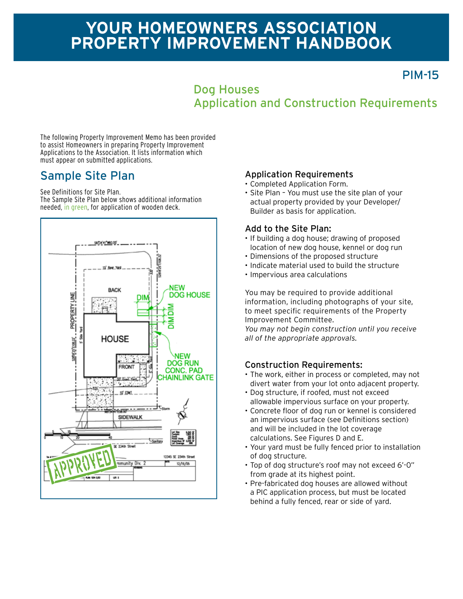# **Your homeowners association Property improvement Handbook**

PIM-15

## Dog Houses Application and Construction Requirements

The following Property Improvement Memo has been provided to assist Homeowners in preparing Property Improvement Applications to the Association. It lists information which must appear on submitted applications.

See Definitions for Site Plan.

The Sample Site Plan below shows additional information needed, in green, for application of wooden deck.



### Sample Site Plan Application Requirements

- • Completed Application Form.
- Site Plan You must use the site plan of your actual property provided by your Developer/ Builder as basis for application.

### Add to the Site Plan:

- If building a dog house; drawing of proposed location of new dog house, kennel or dog run
- • Dimensions of the proposed structure
- Indicate material used to build the structure
- • Impervious area calculations

You may be required to provide additional information, including photographs of your site, to meet specific requirements of the Property Improvement Committee.

*You may not begin construction until you receive all of the appropriate approvals.*

### Construction Requirements:

- The work, either in process or completed, may not divert water from your lot onto adjacent property.
- • Dog structure, if roofed, must not exceed allowable impervious surface on your property.
- • Concrete floor of dog run or kennel is considered an impervious surface (see Definitions section) and will be included in the lot coverage calculations. See Figures D and E.
- • Your yard must be fully fenced prior to installation of dog structure.
- • Top of dog structure's roof may not exceed 6'-0" from grade at its highest point.
- Pre-fabricated dog houses are allowed without a PIC application process, but must be located behind a fully fenced, rear or side of yard.